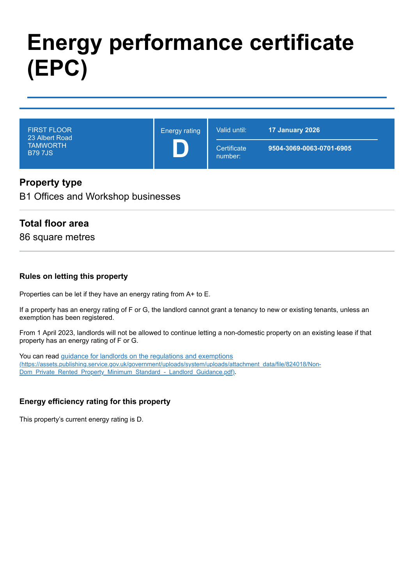# **Energy performance certificate (EPC)**

| <b>FIRST FLOOR</b><br>23 Albert Road<br><b>TAMWORTH</b><br><b>B797JS</b> | <b>Energy rating</b> | Valid until:           | 17 January 2026          |
|--------------------------------------------------------------------------|----------------------|------------------------|--------------------------|
|                                                                          |                      | Certificate<br>number: | 9504-3069-0063-0701-6905 |

## **Property type**

B1 Offices and Workshop businesses

## **Total floor area**

86 square metres

#### **Rules on letting this property**

Properties can be let if they have an energy rating from A+ to E.

If a property has an energy rating of F or G, the landlord cannot grant a tenancy to new or existing tenants, unless an exemption has been registered.

From 1 April 2023, landlords will not be allowed to continue letting a non-domestic property on an existing lease if that property has an energy rating of F or G.

You can read guidance for landlords on the regulations and exemptions [\(https://assets.publishing.service.gov.uk/government/uploads/system/uploads/attachment\\_data/file/824018/Non-](https://assets.publishing.service.gov.uk/government/uploads/system/uploads/attachment_data/file/824018/Non-Dom_Private_Rented_Property_Minimum_Standard_-_Landlord_Guidance.pdf)Dom\_Private\_Rented\_Property\_Minimum\_Standard\_-\_Landlord\_Guidance.pdf).

#### **Energy efficiency rating for this property**

This property's current energy rating is D.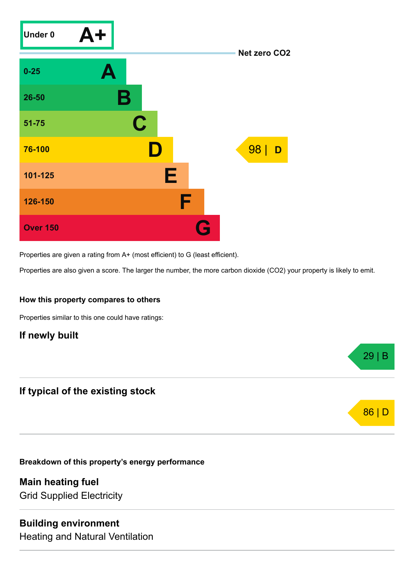

Properties are given a rating from A+ (most efficient) to G (least efficient).

Properties are also given a score. The larger the number, the more carbon dioxide (CO2) your property is likely to emit.

29 | B

86 | D

#### **How this property compares to others**

Properties similar to this one could have ratings:

## **If newly built**

## **If typical of the existing stock**

**Breakdown of this property's energy performance**

**Main heating fuel** Grid Supplied Electricity

#### **Building environment**

Heating and Natural Ventilation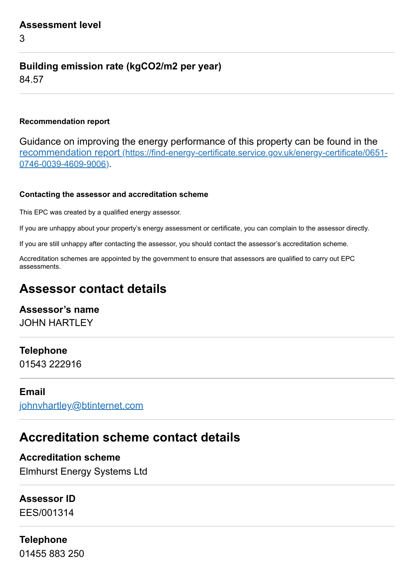3

## **Building emission rate (kgCO2/m2 per year)**

84.57

## **Recommendation report**

Guidance on improving the energy performance of this property can be found in the recommendation report [\(https://find-energy-certificate.service.gov.uk/energy-certificate/0651-](https://find-energy-certificate.service.gov.uk/energy-certificate/0651-0746-0039-4609-9006) 0746-0039-4609-9006).

#### **Contacting the assessor and accreditation scheme**

This EPC was created by a qualified energy assessor.

If you are unhappy about your property's energy assessment or certificate, you can complain to the assessor directly.

If you are still unhappy after contacting the assessor, you should contact the assessor's accreditation scheme.

Accreditation schemes are appointed by the government to ensure that assessors are qualified to carry out EPC assessments.

## **Assessor contact details**

## **Assessor's name** JOHN HARTLEY

## **Telephone**

01543 222916

## **Email**

[johnvhartley@btinternet.com](mailto:johnvhartley@btinternet.com)

## **Accreditation scheme contact details**

**Accreditation scheme** Elmhurst Energy Systems Ltd

## **Assessor ID**

EES/001314

## **Telephone**

01455 883 250